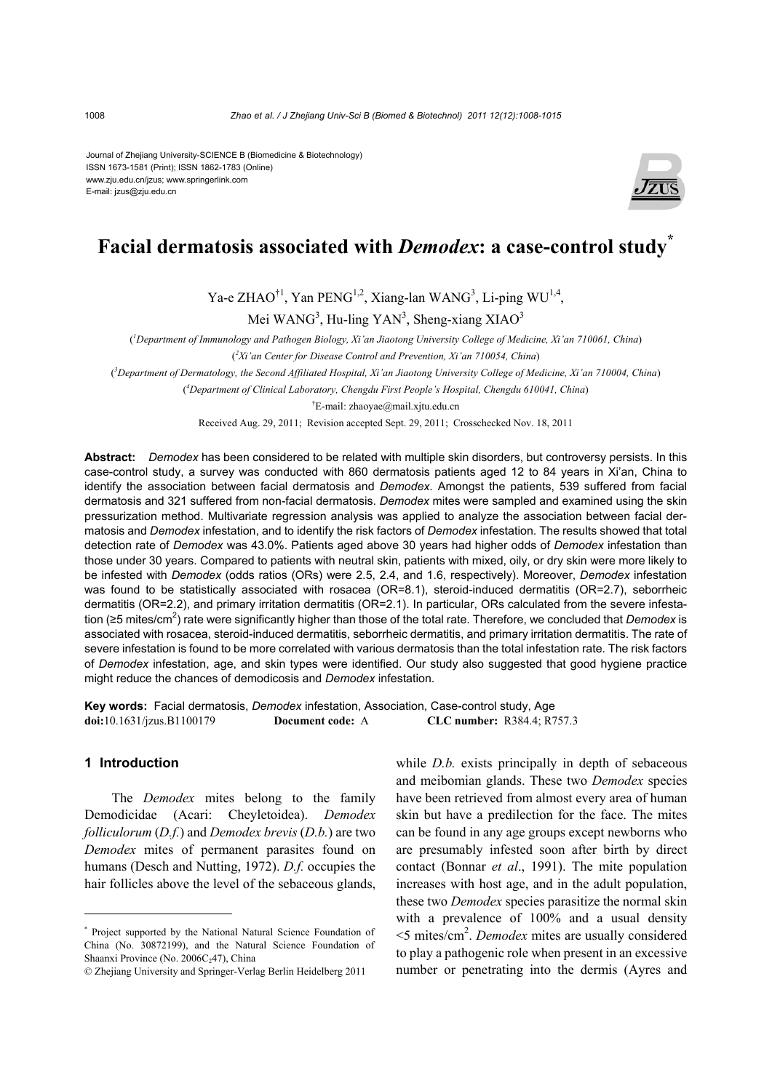Journal of Zhejiang University-SCIENCE B (Biomedicine & Biotechnology) ISSN 1673-1581 (Print); ISSN 1862-1783 (Online) www.zju.edu.cn/jzus; www.springerlink.com E-mail: jzus@zju.edu.cn



# **Facial dermatosis associated with** *Demodex***: a case-control study\***

Ya-e ZHAO<sup>†1</sup>, Yan PENG<sup>1,2</sup>, Xiang-lan WANG<sup>3</sup>, Li-ping WU<sup>1,4</sup>,

Mei WAN $G<sup>3</sup>$ , Hu-ling YAN<sup>3</sup>, Sheng-xiang XIAO<sup>3</sup>

( *1 Department of Immunology and Pathogen Biology, Xi'an Jiaotong University College of Medicine, Xi'an 710061, China*)

( *2 Xi'an Center for Disease Control and Prevention, Xi'an 710054, China*)

( *3 Department of Dermatology, the Second Affiliated Hospital, Xi'an Jiaotong University College of Medicine, Xi'an 710004, China*)

( *4 Department of Clinical Laboratory, Chengdu First People's Hospital, Chengdu 610041, China*)

† E-mail: zhaoyae@mail.xjtu.edu.cn

Received Aug. 29, 2011; Revision accepted Sept. 29, 2011; Crosschecked Nov. 18, 2011

**Abstract:** *Demodex* has been considered to be related with multiple skin disorders, but controversy persists. In this case-control study, a survey was conducted with 860 dermatosis patients aged 12 to 84 years in Xi'an, China to identify the association between facial dermatosis and *Demodex*. Amongst the patients, 539 suffered from facial dermatosis and 321 suffered from non-facial dermatosis. *Demodex* mites were sampled and examined using the skin pressurization method. Multivariate regression analysis was applied to analyze the association between facial dermatosis and *Demodex* infestation, and to identify the risk factors of *Demodex* infestation. The results showed that total detection rate of *Demodex* was 43.0%. Patients aged above 30 years had higher odds of *Demodex* infestation than those under 30 years. Compared to patients with neutral skin, patients with mixed, oily, or dry skin were more likely to be infested with *Demodex* (odds ratios (ORs) were 2.5, 2.4, and 1.6, respectively). Moreover, *Demodex* infestation was found to be statistically associated with rosacea (OR=8.1), steroid-induced dermatitis (OR=2.7), seborrheic dermatitis (OR=2.2), and primary irritation dermatitis (OR=2.1). In particular, ORs calculated from the severe infestation (≥5 mites/cm<sup>2</sup>) rate were significantly higher than those of the total rate. Therefore, we concluded that *Demodex* is associated with rosacea, steroid-induced dermatitis, seborrheic dermatitis, and primary irritation dermatitis. The rate of severe infestation is found to be more correlated with various dermatosis than the total infestation rate. The risk factors of *Demodex* infestation, age, and skin types were identified. Our study also suggested that good hygiene practice might reduce the chances of demodicosis and *Demodex* infestation.

**Key words:** Facial dermatosis, *Demodex* infestation, Association, Case-control study, Age **doi:**10.1631/jzus.B1100179 **Document code:** A **CLC number:** R384.4; R757.3

# **1 Introduction**

The *Demodex* mites belong to the family Demodicidae (Acari: Cheyletoidea). *Demodex folliculorum* (*D.f.*) and *Demodex brevis* (*D.b.*) are two *Demodex* mites of permanent parasites found on humans (Desch and Nutting, 1972). *D.f.* occupies the hair follicles above the level of the sebaceous glands,

while *D.b.* exists principally in depth of sebaceous and meibomian glands. These two *Demodex* species have been retrieved from almost every area of human skin but have a predilection for the face. The mites can be found in any age groups except newborns who are presumably infested soon after birth by direct contact (Bonnar *et al*., 1991). The mite population increases with host age, and in the adult population, these two *Demodex* species parasitize the normal skin with a prevalence of 100% and a usual density <5 mites/cm2 . *Demodex* mites are usually considered to play a pathogenic role when present in an excessive number or penetrating into the dermis (Ayres and

<sup>\*</sup> Project supported by the National Natural Science Foundation of China (No. 30872199), and the Natural Science Foundation of Shaanxi Province (No. 2006C<sub>2</sub>47), China

<sup>©</sup> Zhejiang University and Springer-Verlag Berlin Heidelberg 2011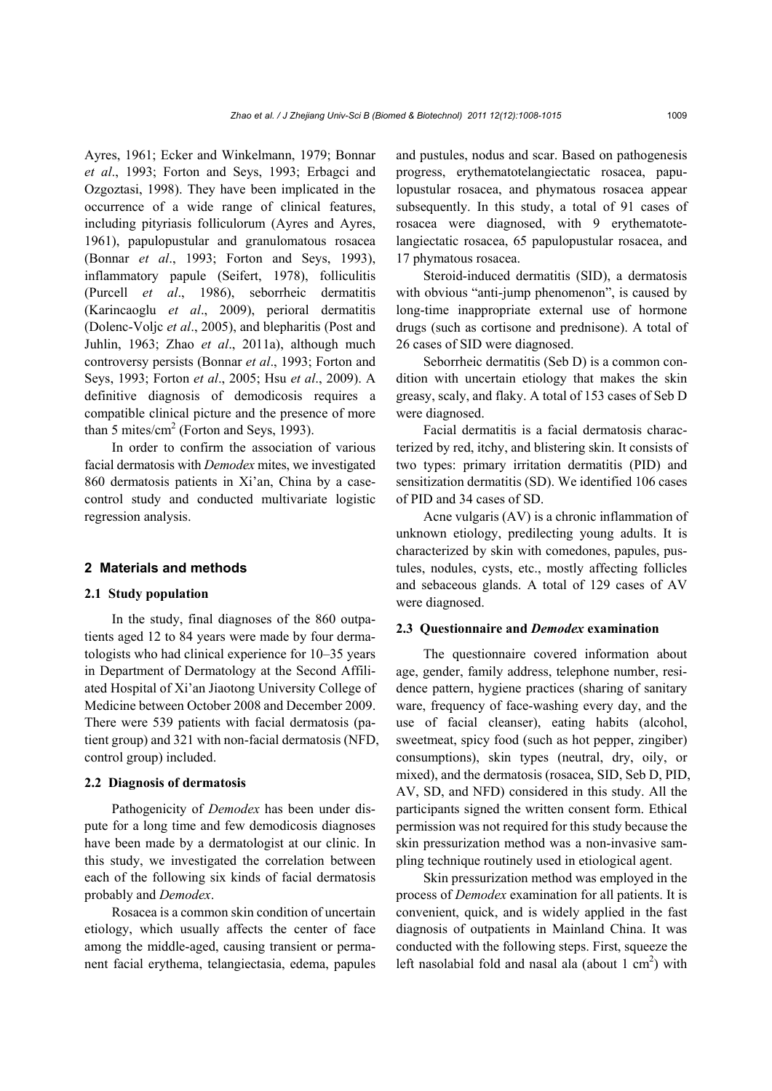Ayres, 1961; Ecker and Winkelmann, 1979; Bonnar *et al*., 1993; Forton and Seys, 1993; Erbagci and Ozgoztasi, 1998). They have been implicated in the occurrence of a wide range of clinical features, including pityriasis folliculorum (Ayres and Ayres, 1961), papulopustular and granulomatous rosacea (Bonnar *et al*., 1993; Forton and Seys, 1993), inflammatory papule (Seifert, 1978), folliculitis (Purcell *et al*., 1986), seborrheic dermatitis (Karincaoglu *et al*., 2009), perioral dermatitis (Dolenc-Voljc *et al*., 2005), and blepharitis (Post and Juhlin, 1963; Zhao *et al*., 2011a), although much controversy persists (Bonnar *et al*., 1993; Forton and Seys, 1993; Forton *et al*., 2005; Hsu *et al*., 2009). A definitive diagnosis of demodicosis requires a compatible clinical picture and the presence of more than 5 mites/ $\text{cm}^2$  (Forton and Seys, 1993).

In order to confirm the association of various facial dermatosis with *Demodex* mites, we investigated 860 dermatosis patients in Xi'an, China by a casecontrol study and conducted multivariate logistic regression analysis.

## **2 Materials and methods**

## **2.1 Study population**

In the study, final diagnoses of the 860 outpatients aged 12 to 84 years were made by four dermatologists who had clinical experience for 10‒35 years in Department of Dermatology at the Second Affiliated Hospital of Xi'an Jiaotong University College of Medicine between October 2008 and December 2009. There were 539 patients with facial dermatosis (patient group) and 321 with non-facial dermatosis (NFD, control group) included.

## **2.2 Diagnosis of dermatosis**

Pathogenicity of *Demodex* has been under dispute for a long time and few demodicosis diagnoses have been made by a dermatologist at our clinic. In this study, we investigated the correlation between each of the following six kinds of facial dermatosis probably and *Demodex*.

Rosacea is a common skin condition of uncertain etiology, which usually affects the center of face among the middle-aged, causing transient or permanent facial erythema, telangiectasia, edema, papules and pustules, nodus and scar. Based on pathogenesis progress, erythematotelangiectatic rosacea, papulopustular rosacea, and phymatous rosacea appear subsequently. In this study, a total of 91 cases of rosacea were diagnosed, with 9 erythematotelangiectatic rosacea, 65 papulopustular rosacea, and 17 phymatous rosacea.

Steroid-induced dermatitis (SID), a dermatosis with obvious "anti-jump phenomenon", is caused by long-time inappropriate external use of hormone drugs (such as cortisone and prednisone). A total of 26 cases of SID were diagnosed.

Seborrheic dermatitis (Seb D) is a common condition with uncertain etiology that makes the skin greasy, scaly, and flaky. A total of 153 cases of Seb D were diagnosed.

Facial dermatitis is a facial dermatosis characterized by red, itchy, and blistering skin. It consists of two types: primary irritation dermatitis (PID) and sensitization dermatitis (SD). We identified 106 cases of PID and 34 cases of SD.

Acne vulgaris (AV) is a chronic inflammation of unknown etiology, predilecting young adults. It is characterized by skin with comedones, papules, pustules, nodules, cysts, etc., mostly affecting follicles and sebaceous glands. A total of 129 cases of AV were diagnosed.

#### **2.3 Questionnaire and** *Demodex* **examination**

The questionnaire covered information about age, gender, family address, telephone number, residence pattern, hygiene practices (sharing of sanitary ware, frequency of face-washing every day, and the use of facial cleanser), eating habits (alcohol, sweetmeat, spicy food (such as hot pepper, zingiber) consumptions), skin types (neutral, dry, oily, or mixed), and the dermatosis (rosacea, SID, Seb D, PID, AV, SD, and NFD) considered in this study. All the participants signed the written consent form. Ethical permission was not required for this study because the skin pressurization method was a non-invasive sampling technique routinely used in etiological agent.

Skin pressurization method was employed in the process of *Demodex* examination for all patients. It is convenient, quick, and is widely applied in the fast diagnosis of outpatients in Mainland China. It was conducted with the following steps. First, squeeze the left nasolabial fold and nasal ala (about  $1 \text{ cm}^2$ ) with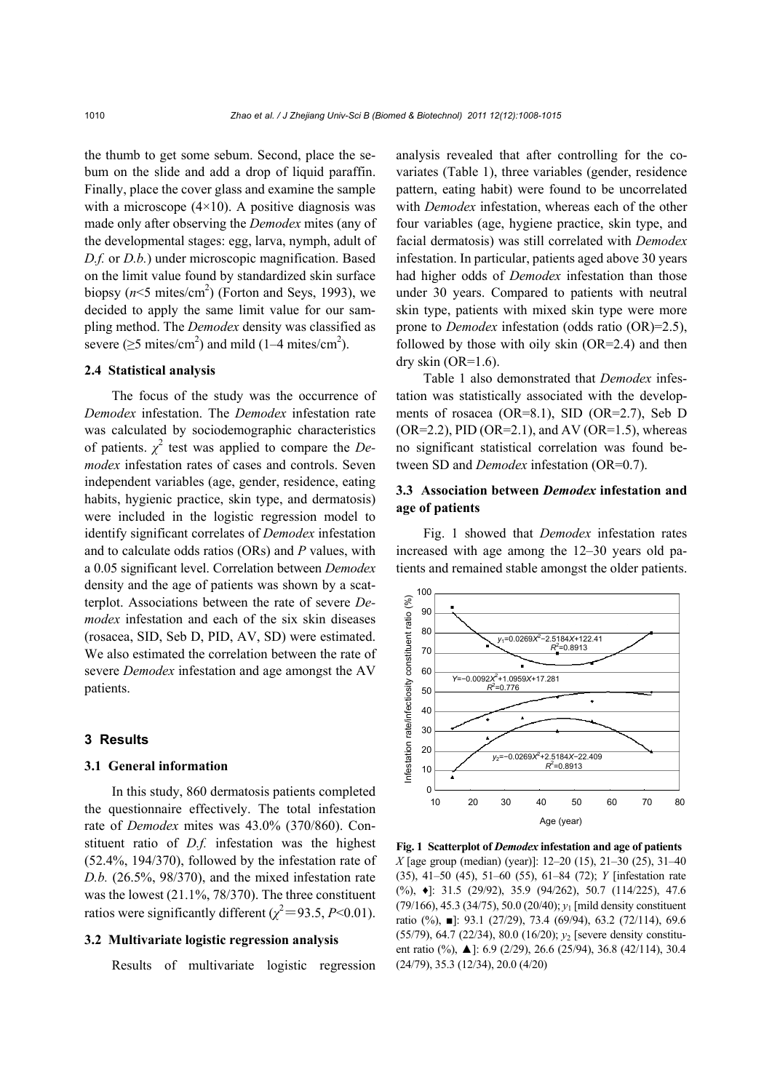the thumb to get some sebum. Second, place the sebum on the slide and add a drop of liquid paraffin. Finally, place the cover glass and examine the sample with a microscope  $(4\times10)$ . A positive diagnosis was made only after observing the *Demodex* mites (any of the developmental stages: egg, larva, nymph, adult of *D.f.* or *D.b.*) under microscopic magnification. Based on the limit value found by standardized skin surface biopsy  $(n<5 \text{ mites/cm}^2)$  (Forton and Seys, 1993), we decided to apply the same limit value for our sampling method. The *Demodex* density was classified as severe ( $\geq$ 5 mites/cm<sup>2</sup>) and mild (1–4 mites/cm<sup>2</sup>).

# **2.4 Statistical analysis**

The focus of the study was the occurrence of *Demodex* infestation. The *Demodex* infestation rate was calculated by sociodemographic characteristics of patients.  $\chi^2$  test was applied to compare the *Demodex* infestation rates of cases and controls. Seven independent variables (age, gender, residence, eating habits, hygienic practice, skin type, and dermatosis) were included in the logistic regression model to identify significant correlates of *Demodex* infestation and to calculate odds ratios (ORs) and *P* values, with a 0.05 significant level. Correlation between *Demodex* density and the age of patients was shown by a scatterplot. Associations between the rate of severe *Demodex* infestation and each of the six skin diseases (rosacea, SID, Seb D, PID, AV, SD) were estimated. We also estimated the correlation between the rate of severe *Demodex* infestation and age amongst the AV patients.

#### **3 Results**

#### **3.1 General information**

In this study, 860 dermatosis patients completed the questionnaire effectively. The total infestation rate of *Demodex* mites was 43.0% (370/860). Constituent ratio of *D.f.* infestation was the highest (52.4%, 194/370), followed by the infestation rate of *D.b.* (26.5%, 98/370), and the mixed infestation rate was the lowest (21.1%, 78/370). The three constituent ratios were significantly different  $(\chi^2 = 93.5, P < 0.01)$ .

## **3.2 Multivariate logistic regression analysis**

Results of multivariate logistic regression

analysis revealed that after controlling for the covariates (Table 1), three variables (gender, residence pattern, eating habit) were found to be uncorrelated with *Demodex* infestation, whereas each of the other four variables (age, hygiene practice, skin type, and facial dermatosis) was still correlated with *Demodex* infestation. In particular, patients aged above 30 years had higher odds of *Demodex* infestation than those under 30 years. Compared to patients with neutral skin type, patients with mixed skin type were more prone to *Demodex* infestation (odds ratio (OR)=2.5), followed by those with oily skin  $(OR=2.4)$  and then dry skin  $(OR=1.6)$ .

Table 1 also demonstrated that *Demodex* infestation was statistically associated with the developments of rosacea (OR=8.1), SID (OR=2.7), Seb D  $(OR=2.2)$ , PID  $(OR=2.1)$ , and AV  $(OR=1.5)$ , whereas no significant statistical correlation was found between SD and *Demodex* infestation (OR=0.7).

# **3.3 Association between** *Demodex* **infestation and age of patients**

Fig. 1 showed that *Demodex* infestation rates increased with age among the 12–30 years old patients and remained stable amongst the older patients.



**Fig. 1 Scatterplot of** *Demodex* **infestation and age of patients**  *X* [age group (median) (year)]: 12–20 (15), 21–30 (25), 31–40 (35), 41–50 (45), 51–60 (55), 61–84 (72); *Y* [infestation rate (%), ♦]: 31.5 (29/92), 35.9 (94/262), 50.7 (114/225), 47.6 (79/166), 45.3 (34/75), 50.0 (20/40); *y*1 [mild density constituent ratio (%), ■]: 93.1 (27/29), 73.4 (69/94), 63.2 (72/114), 69.6 (55/79), 64.7 (22/34), 80.0 (16/20); *y*2 [severe density constituent ratio (%), ▲]: 6.9 (2/29), 26.6 (25/94), 36.8 (42/114), 30.4 (24/79), 35.3 (12/34), 20.0 (4/20)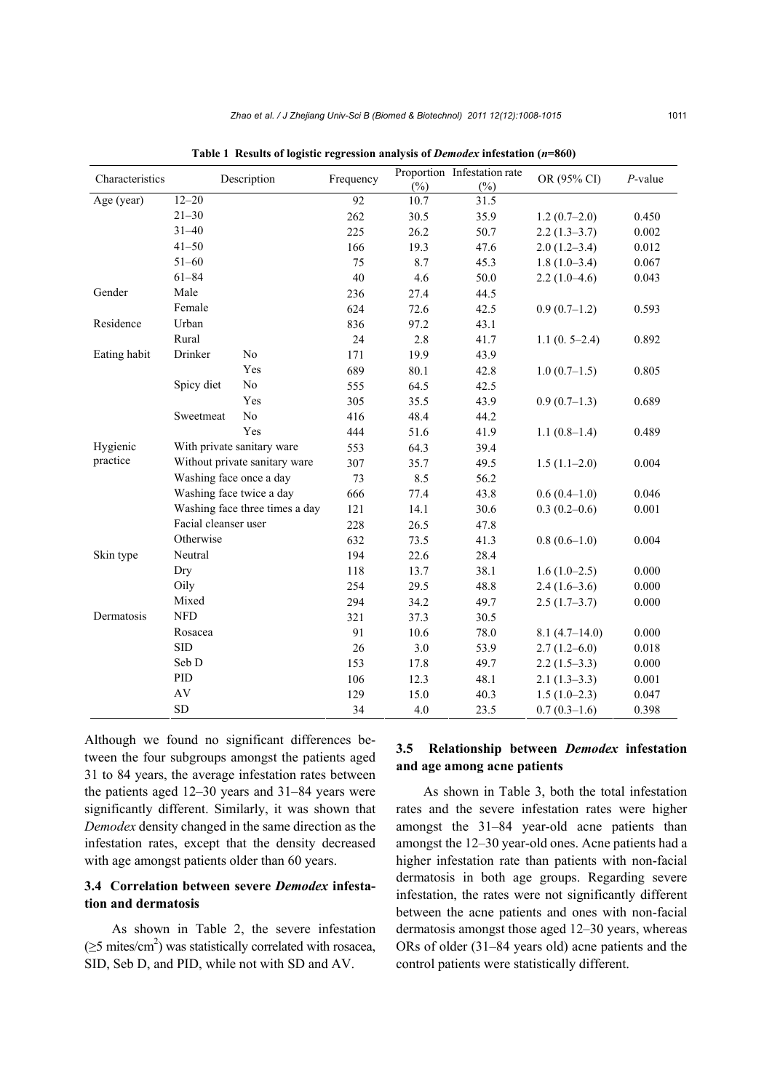| Characteristics | Description                    |                            | Frequency<br>92 |        | Proportion Infestation rate | OR (95% CI)     | $P$ -value |
|-----------------|--------------------------------|----------------------------|-----------------|--------|-----------------------------|-----------------|------------|
|                 |                                |                            |                 | $(\%)$ | $(\%)$                      |                 |            |
| Age (year)      |                                | $12 - 20$                  |                 | 10.7   | 31.5                        |                 |            |
|                 | $21 - 30$                      |                            | 262             | 30.5   | 35.9                        | $1.2(0.7-2.0)$  | 0.450      |
|                 | $31 - 40$<br>$41 - 50$         |                            | 225             | 26.2   | 50.7                        | $2.2(1.3-3.7)$  | 0.002      |
|                 |                                |                            | 166             | 19.3   | 47.6                        | $2.0(1.2-3.4)$  | 0.012      |
|                 | $51 - 60$                      |                            | 75              | 8.7    | 45.3                        | $1.8(1.0-3.4)$  | 0.067      |
|                 | $61 - 84$                      |                            | 40              | 4.6    | 50.0                        | $2.2(1.0-4.6)$  | 0.043      |
| Gender          | Male                           |                            | 236             | 27.4   | 44.5                        |                 |            |
|                 | Female                         |                            | 624             | 72.6   | 42.5                        | $0.9(0.7-1.2)$  | 0.593      |
| Residence       | Urban                          |                            | 836             | 97.2   | 43.1                        |                 |            |
|                 | Rural                          |                            | 24              | 2.8    | 41.7                        | $1.1(0.5-2.4)$  | 0.892      |
| Eating habit    | Drinker                        | No                         | 171             | 19.9   | 43.9                        |                 |            |
|                 |                                | Yes                        | 689             | 80.1   | 42.8                        | $1.0(0.7-1.5)$  | 0.805      |
|                 | Spicy diet                     | $\rm No$                   | 555             | 64.5   | 42.5                        |                 |            |
|                 |                                | Yes                        | 305             | 35.5   | 43.9                        | $0.9(0.7-1.3)$  | 0.689      |
|                 | Sweetmeat                      | $\rm No$                   | 416             | 48.4   | 44.2                        |                 |            |
|                 |                                | Yes                        | 444             | 51.6   | 41.9                        | $1.1(0.8-1.4)$  | 0.489      |
| Hygienic        |                                | With private sanitary ware | 553             | 64.3   | 39.4                        |                 |            |
| practice        | Without private sanitary ware  |                            | 307             | 35.7   | 49.5                        | $1.5(1.1-2.0)$  | 0.004      |
|                 | Washing face once a day        |                            | 73              | 8.5    | 56.2                        |                 |            |
|                 | Washing face twice a day       |                            | 666             | 77.4   | 43.8                        | $0.6(0.4-1.0)$  | 0.046      |
|                 | Washing face three times a day |                            | 121             | 14.1   | 30.6                        | $0.3(0.2-0.6)$  | 0.001      |
|                 | Facial cleanser user           |                            | 228             | 26.5   | 47.8                        |                 |            |
|                 | Otherwise                      |                            | 632             | 73.5   | 41.3                        | $0.8(0.6-1.0)$  | 0.004      |
| Skin type       | Neutral                        |                            | 194             | 22.6   | 28.4                        |                 |            |
|                 | Dry                            |                            | 118             | 13.7   | 38.1                        | $1.6(1.0-2.5)$  | 0.000      |
|                 | Oily                           |                            | 254             | 29.5   | 48.8                        | $2.4(1.6-3.6)$  | 0.000      |
|                 | Mixed                          |                            | 294             | 34.2   | 49.7                        | $2.5(1.7-3.7)$  | 0.000      |
| Dermatosis      | <b>NFD</b>                     |                            | 321             | 37.3   | 30.5                        |                 |            |
|                 | Rosacea                        |                            | 91              | 10.6   | 78.0                        | $8.1(4.7-14.0)$ | 0.000      |
|                 | <b>SID</b>                     |                            | 26              | 3.0    | 53.9                        | $2.7(1.2-6.0)$  | 0.018      |
|                 | Seb D                          |                            | 153             | 17.8   | 49.7                        | $2.2(1.5-3.3)$  | 0.000      |
|                 | PID                            |                            | 106             | 12.3   | 48.1                        | $2.1(1.3-3.3)$  | 0.001      |
| AV<br><b>SD</b> |                                |                            | 129             | 15.0   | 40.3                        | $1.5(1.0-2.3)$  | 0.047      |
|                 |                                |                            |                 | 4.0    | 23.5                        | $0.7(0.3-1.6)$  | 0.398      |

**Table 1 Results of logistic regression analysis of** *Demodex* **infestation (***n***=860)**

Although we found no significant differences between the four subgroups amongst the patients aged 31 to 84 years, the average infestation rates between the patients aged 12‒30 years and 31‒84 years were significantly different. Similarly, it was shown that *Demodex* density changed in the same direction as the infestation rates, except that the density decreased with age amongst patients older than 60 years.

# **3.4 Correlation between severe** *Demodex* **infestation and dermatosis**

As shown in Table 2, the severe infestation  $(\geq 5 \text{ mites/cm}^2)$  was statistically correlated with rosacea, SID, Seb D, and PID, while not with SD and AV.

# **3.5 Relationship between** *Demodex* **infestation and age among acne patients**

As shown in Table 3, both the total infestation rates and the severe infestation rates were higher amongst the 31-84 year-old acne patients than amongst the 12‒30 year-old ones. Acne patients had a higher infestation rate than patients with non-facial dermatosis in both age groups. Regarding severe infestation, the rates were not significantly different between the acne patients and ones with non-facial dermatosis amongst those aged 12–30 years, whereas ORs of older (31‒84 years old) acne patients and the control patients were statistically different.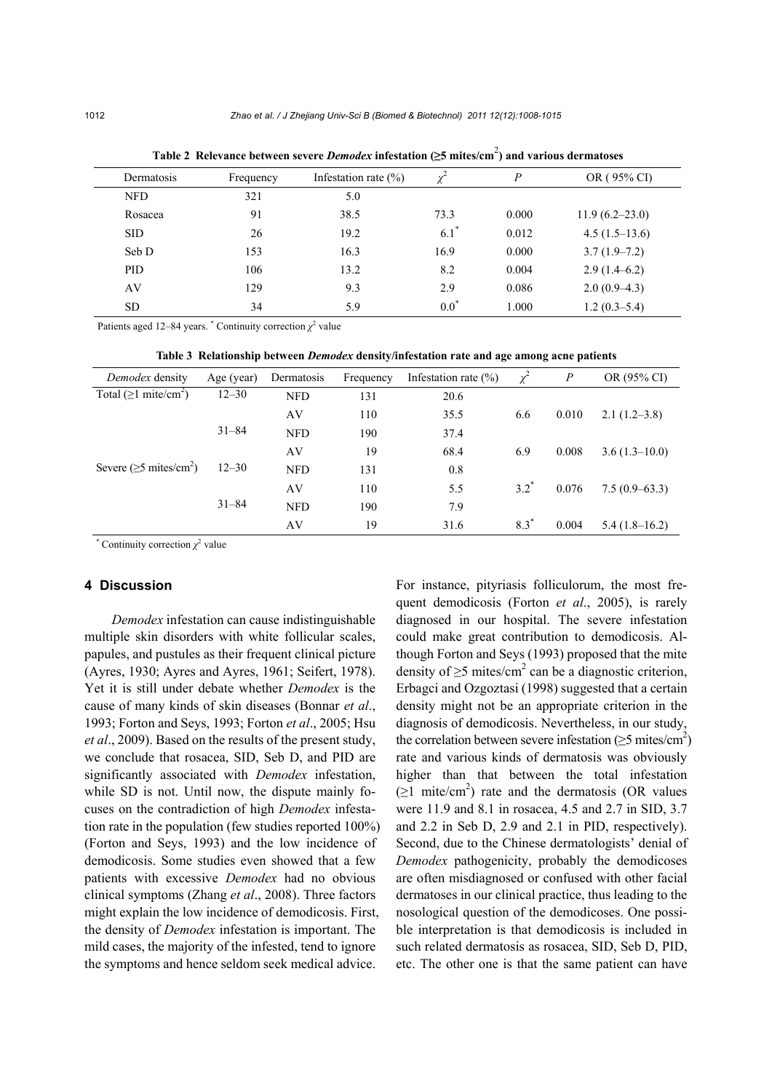| Dermatosis | Frequency | Infestation rate $(\% )$ | $\chi^2$  | $\boldsymbol{P}$ | OR (95% CI)        |
|------------|-----------|--------------------------|-----------|------------------|--------------------|
| <b>NFD</b> | 321       | 5.0                      |           |                  |                    |
| Rosacea    | 91        | 38.5                     | 73.3      | 0.000            | $11.9(6.2 - 23.0)$ |
| <b>SID</b> | 26        | 19.2                     | $6.1^*$   | 0.012            | $4.5(1.5-13.6)$    |
| Seb D      | 153       | 16.3                     | 16.9      | 0.000            | $3.7(1.9 - 7.2)$   |
| <b>PID</b> | 106       | 13.2                     | 8.2       | 0.004            | $2.9(1.4-6.2)$     |
| AV         | 129       | 9.3                      | 2.9       | 0.086            | $2.0(0.9-4.3)$     |
| <b>SD</b>  | 34        | 5.9                      | $0.0^{*}$ | 1.000            | $1.2(0.3-5.4)$     |

**Table 2 Relevance between severe** *Demodex* **infestation (≥5 mites/cm**<sup>2</sup> **) and various dermatoses**

Patients aged 12–84 years.  $\degree$  Continuity correction  $\chi^2$  value

**Table 3 Relationship between** *Demodex* **density/infestation rate and age among acne patients**

| Demodex density                          | Age (year) | Dermatosis | Frequency | Infestation rate $(\% )$ | $\chi^2$ | $\boldsymbol{P}$ | OR (95% CI)     |
|------------------------------------------|------------|------------|-----------|--------------------------|----------|------------------|-----------------|
| Total ( $\geq$ 1 mite/cm <sup>2</sup> )  | $12 - 30$  | <b>NFD</b> | 131       | 20.6                     |          |                  |                 |
|                                          |            | AV         | 110       | 35.5                     | 6.6      | 0.010            | $2.1(1.2-3.8)$  |
|                                          | $31 - 84$  | <b>NFD</b> | 190       | 37.4                     |          |                  |                 |
|                                          |            | AV         | 19        | 68.4                     | 6.9      | 0.008            | $3.6(1.3-10.0)$ |
| Severe ( $\ge$ 5 mites/cm <sup>2</sup> ) | $12 - 30$  | <b>NFD</b> | 131       | 0.8                      |          |                  |                 |
|                                          |            | AV         | 110       | 5.5                      | $3.2^*$  | 0.076            | $7.5(0.9-63.3)$ |
|                                          | $31 - 84$  | <b>NFD</b> | 190       | 7.9                      |          |                  |                 |
|                                          |            | AV         | 19        | 31.6                     | $8.3*$   | 0.004            | $5.4(1.8-16.2)$ |

\* Continuity correction  $\chi^2$  value

#### **4 Discussion**

*Demodex* infestation can cause indistinguishable multiple skin disorders with white follicular scales, papules, and pustules as their frequent clinical picture (Ayres, 1930; Ayres and Ayres, 1961; Seifert, 1978). Yet it is still under debate whether *Demodex* is the cause of many kinds of skin diseases (Bonnar *et al*., 1993; Forton and Seys, 1993; Forton *et al*., 2005; Hsu *et al*., 2009). Based on the results of the present study, we conclude that rosacea, SID, Seb D, and PID are significantly associated with *Demodex* infestation, while SD is not. Until now, the dispute mainly focuses on the contradiction of high *Demodex* infestation rate in the population (few studies reported 100%) (Forton and Seys, 1993) and the low incidence of demodicosis. Some studies even showed that a few patients with excessive *Demodex* had no obvious clinical symptoms (Zhang *et al*., 2008). Three factors might explain the low incidence of demodicosis. First, the density of *Demodex* infestation is important. The mild cases, the majority of the infested, tend to ignore the symptoms and hence seldom seek medical advice.

For instance, pityriasis folliculorum, the most frequent demodicosis (Forton *et al*., 2005), is rarely diagnosed in our hospital. The severe infestation could make great contribution to demodicosis. Although Forton and Seys (1993) proposed that the mite density of  $\geq$ 5 mites/cm<sup>2</sup> can be a diagnostic criterion, Erbagci and Ozgoztasi (1998) suggested that a certain density might not be an appropriate criterion in the diagnosis of demodicosis. Nevertheless, in our study, the correlation between severe infestation ( $\geq$ 5 mites/cm<sup>2</sup>) rate and various kinds of dermatosis was obviously higher than that between the total infestation  $( \geq 1 \text{ mite/cm}^2 )$  rate and the dermatosis (OR values were 11.9 and 8.1 in rosacea, 4.5 and 2.7 in SID, 3.7 and 2.2 in Seb D, 2.9 and 2.1 in PID, respectively). Second, due to the Chinese dermatologists' denial of *Demodex* pathogenicity, probably the demodicoses are often misdiagnosed or confused with other facial dermatoses in our clinical practice, thus leading to the nosological question of the demodicoses. One possible interpretation is that demodicosis is included in such related dermatosis as rosacea, SID, Seb D, PID, etc. The other one is that the same patient can have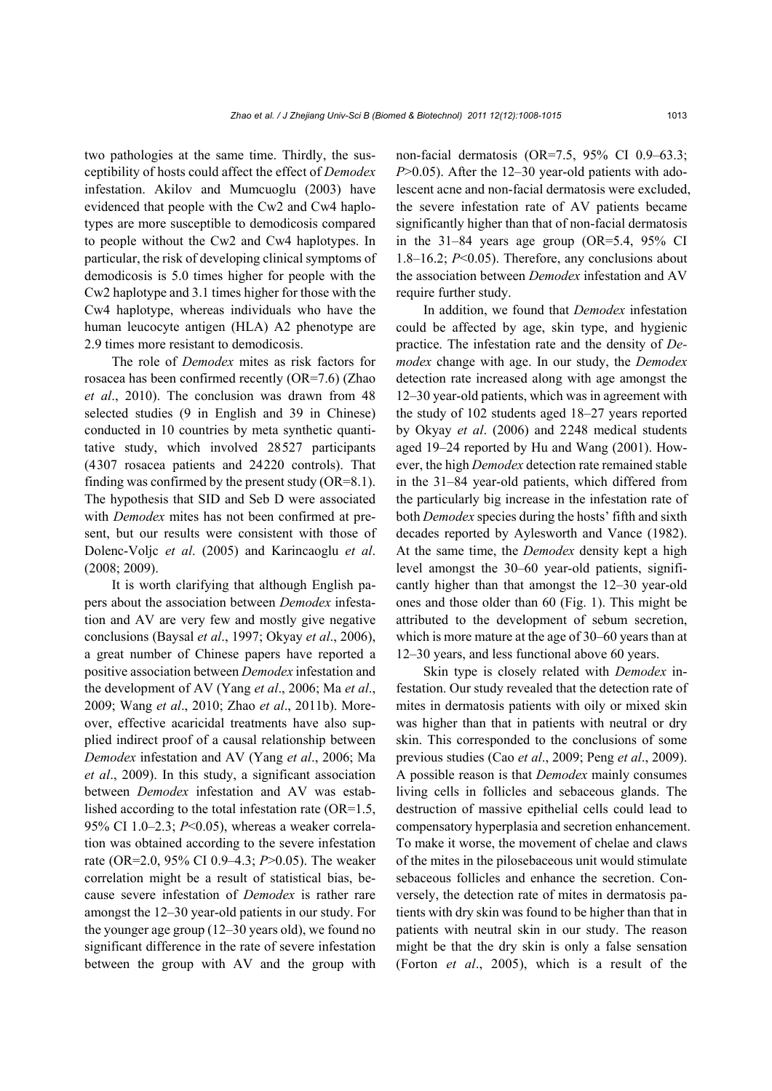two pathologies at the same time. Thirdly, the susceptibility of hosts could affect the effect of *Demodex* infestation. Akilov and Mumcuoglu (2003) have evidenced that people with the Cw2 and Cw4 haplotypes are more susceptible to demodicosis compared to people without the Cw2 and Cw4 haplotypes. In particular, the risk of developing clinical symptoms of demodicosis is 5.0 times higher for people with the Cw2 haplotype and 3.1 times higher for those with the Cw4 haplotype, whereas individuals who have the human leucocyte antigen (HLA) A2 phenotype are 2.9 times more resistant to demodicosis.

The role of *Demodex* mites as risk factors for rosacea has been confirmed recently (OR=7.6) (Zhao *et al*., 2010). The conclusion was drawn from 48 selected studies (9 in English and 39 in Chinese) conducted in 10 countries by meta synthetic quantitative study, which involved 28527 participants (4307 rosacea patients and 24220 controls). That finding was confirmed by the present study (OR=8.1). The hypothesis that SID and Seb D were associated with *Demodex* mites has not been confirmed at present, but our results were consistent with those of Dolenc-Voljc *et al*. (2005) and Karincaoglu *et al*. (2008; 2009).

It is worth clarifying that although English papers about the association between *Demodex* infestation and AV are very few and mostly give negative conclusions (Baysal *et al*., 1997; Okyay *et al*., 2006), a great number of Chinese papers have reported a positive association between *Demodex* infestation and the development of AV (Yang *et al*., 2006; Ma *et al*., 2009; Wang *et al*., 2010; Zhao *et al*., 2011b). Moreover, effective acaricidal treatments have also supplied indirect proof of a causal relationship between *Demodex* infestation and AV (Yang *et al*., 2006; Ma *et al*., 2009). In this study, a significant association between *Demodex* infestation and AV was established according to the total infestation rate (OR=1.5, 95% CI 1.0–2.3; *P*<0.05), whereas a weaker correlation was obtained according to the severe infestation rate (OR=2.0, 95% CI 0.9–4.3; *P*>0.05). The weaker correlation might be a result of statistical bias, because severe infestation of *Demodex* is rather rare amongst the 12‒30 year-old patients in our study. For the younger age group (12‒30 years old), we found no significant difference in the rate of severe infestation between the group with AV and the group with non-facial dermatosis (OR=7.5, 95% CI 0.9–63.3; *P*>0.05). After the 12–30 year-old patients with adolescent acne and non-facial dermatosis were excluded, the severe infestation rate of AV patients became significantly higher than that of non-facial dermatosis in the  $31-84$  years age group (OR=5.4, 95% CI 1.8–16.2; *P*<0.05). Therefore, any conclusions about the association between *Demodex* infestation and AV require further study.

In addition, we found that *Demodex* infestation could be affected by age, skin type, and hygienic practice. The infestation rate and the density of *Demodex* change with age. In our study, the *Demodex* detection rate increased along with age amongst the 12‒30 year-old patients, which was in agreement with the study of 102 students aged 18–27 years reported by Okyay *et al*. (2006) and 2248 medical students aged 19–24 reported by Hu and Wang (2001). However, the high *Demodex* detection rate remained stable in the 31‒84 year-old patients, which differed from the particularly big increase in the infestation rate of both *Demodex* species during the hosts' fifth and sixth decades reported by Aylesworth and Vance (1982). At the same time, the *Demodex* density kept a high level amongst the 30–60 year-old patients, significantly higher than that amongst the 12‒30 year-old ones and those older than 60 (Fig. 1). This might be attributed to the development of sebum secretion, which is more mature at the age of 30–60 years than at 12‒30 years, and less functional above 60 years.

Skin type is closely related with *Demodex* infestation. Our study revealed that the detection rate of mites in dermatosis patients with oily or mixed skin was higher than that in patients with neutral or dry skin. This corresponded to the conclusions of some previous studies (Cao *et al*., 2009; Peng *et al*., 2009). A possible reason is that *Demodex* mainly consumes living cells in follicles and sebaceous glands. The destruction of massive epithelial cells could lead to compensatory hyperplasia and secretion enhancement. To make it worse, the movement of chelae and claws of the mites in the pilosebaceous unit would stimulate sebaceous follicles and enhance the secretion. Conversely, the detection rate of mites in dermatosis patients with dry skin was found to be higher than that in patients with neutral skin in our study. The reason might be that the dry skin is only a false sensation (Forton *et al*., 2005), which is a result of the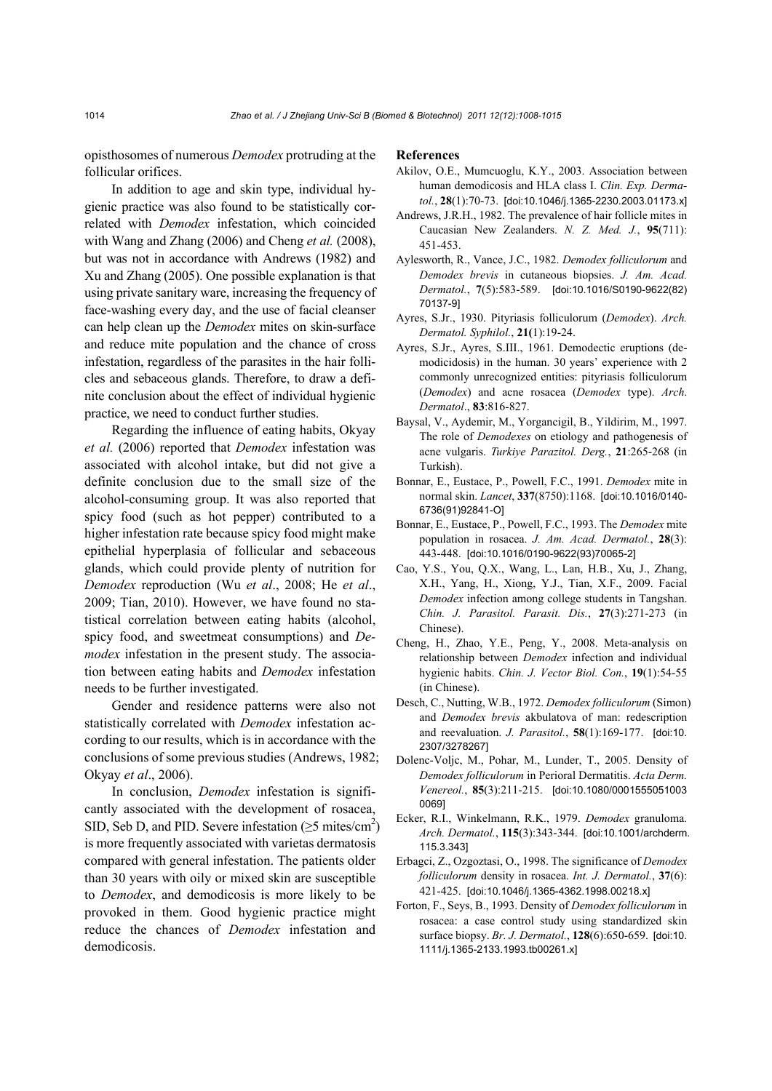opisthosomes of numerous *Demodex* protruding at the follicular orifices.

In addition to age and skin type, individual hygienic practice was also found to be statistically correlated with *Demodex* infestation, which coincided with Wang and Zhang (2006) and Cheng *et al.* (2008), but was not in accordance with Andrews (1982) and Xu and Zhang (2005). One possible explanation is that using private sanitary ware, increasing the frequency of face-washing every day, and the use of facial cleanser can help clean up the *Demodex* mites on skin-surface and reduce mite population and the chance of cross infestation, regardless of the parasites in the hair follicles and sebaceous glands. Therefore, to draw a definite conclusion about the effect of individual hygienic practice, we need to conduct further studies.

Regarding the influence of eating habits, Okyay *et al.* (2006) reported that *Demodex* infestation was associated with alcohol intake, but did not give a definite conclusion due to the small size of the alcohol-consuming group. It was also reported that spicy food (such as hot pepper) contributed to a higher infestation rate because spicy food might make epithelial hyperplasia of follicular and sebaceous glands, which could provide plenty of nutrition for *Demodex* reproduction (Wu *et al*., 2008; He *et al*., 2009; Tian, 2010). However, we have found no statistical correlation between eating habits (alcohol, spicy food, and sweetmeat consumptions) and *Demodex* infestation in the present study. The association between eating habits and *Demodex* infestation needs to be further investigated.

Gender and residence patterns were also not statistically correlated with *Demodex* infestation according to our results, which is in accordance with the conclusions of some previous studies (Andrews, 1982; Okyay *et al*., 2006).

In conclusion, *Demodex* infestation is significantly associated with the development of rosacea, SID, Seb D, and PID. Severe infestation ( $\geq$ 5 mites/cm<sup>2</sup>) is more frequently associated with varietas dermatosis compared with general infestation. The patients older than 30 years with oily or mixed skin are susceptible to *Demodex*, and demodicosis is more likely to be provoked in them. Good hygienic practice might reduce the chances of *Demodex* infestation and demodicosis.

#### **References**

- Akilov, O.E., Mumcuoglu, K.Y., 2003. Association between human demodicosis and HLA class I. *Clin. Exp. Dermatol.*, **28**(1):70-73. [doi:10.1046/j.1365-2230.2003.01173.x]
- Andrews, J.R.H., 1982. The prevalence of hair follicle mites in Caucasian New Zealanders. *N. Z. Med. J.*, **95**(711): 451-453.
- Aylesworth, R., Vance, J.C., 1982. *Demodex folliculorum* and *Demodex brevis* in cutaneous biopsies. *J. Am. Acad. Dermatol.*, **7**(5):583-589. [doi:10.1016/S0190-9622(82) 70137-9]
- Ayres, S.Jr., 1930. Pityriasis folliculorum (*Demodex*). *Arch. Dermatol. Syphilol.*, **21(**1):19-24.
- Ayres, S.Jr., Ayres, S.III., 1961. Demodectic eruptions (demodicidosis) in the human. 30 years' experience with 2 commonly unrecognized entities: pityriasis folliculorum (*Demodex*) and acne rosacea (*Demodex* type). *Arch*. *Dermatol*., **83**:816-827.
- Baysal, V., Aydemir, M., Yorgancigil, B., Yildirim, M., 1997. The role of *Demodexes* on etiology and pathogenesis of acne vulgaris. *Turkiye Parazitol. Derg.*, **21**:265-268 (in Turkish).
- Bonnar, E., Eustace, P., Powell, F.C., 1991. *Demodex* mite in normal skin. *Lancet*, **337**(8750):1168. [doi:10.1016/0140- 6736(91)92841-O]
- Bonnar, E., Eustace, P., Powell, F.C., 1993. The *Demodex* mite population in rosacea. *J. Am. Acad. Dermatol.*, **28**(3): 443-448. [doi:10.1016/0190-9622(93)70065-2]
- Cao, Y.S., You, Q.X., Wang, L., Lan, H.B., Xu, J., Zhang, X.H., Yang, H., Xiong, Y.J., Tian, X.F., 2009. Facial *Demodex* infection among college students in Tangshan. *Chin. J. Parasitol. Parasit. Dis.*, **27**(3):271-273 (in Chinese).
- Cheng, H., Zhao, Y.E., Peng, Y., 2008. Meta-analysis on relationship between *Demodex* infection and individual hygienic habits. *Chin. J. Vector Biol. Con.*, **19**(1):54-55 (in Chinese).
- Desch, C., Nutting, W.B., 1972. *Demodex folliculorum* (Simon) and *Demodex brevis* akbulatova of man: redescription and reevaluation. *J. Parasitol.*, **58**(1):169-177. [doi:10. 2307/3278267]
- Dolenc-Voljc, M., Pohar, M., Lunder, T., 2005. Density of *Demodex folliculorum* in Perioral Dermatitis. *Acta Derm. Venereol.*, **85**(3):211-215. [doi:10.1080/0001555051003 0069]
- Ecker, R.I., Winkelmann, R.K., 1979. *Demodex* granuloma. *Arch. Dermatol.*, **115**(3):343-344. [doi:10.1001/archderm. 115.3.343]
- Erbagci, Z., Ozgoztasi, O., 1998. The significance of *Demodex folliculorum* density in rosacea. *Int. J. Dermatol.*, **37**(6): 421-425. [doi:10.1046/j.1365-4362.1998.00218.x]
- Forton, F., Seys, B., 1993. Density of *Demodex folliculorum* in rosacea: a case control study using standardized skin surface biopsy. *Br. J. Dermatol.*, **128**(6):650-659. [doi:10. 1111/j.1365-2133.1993.tb00261.x]